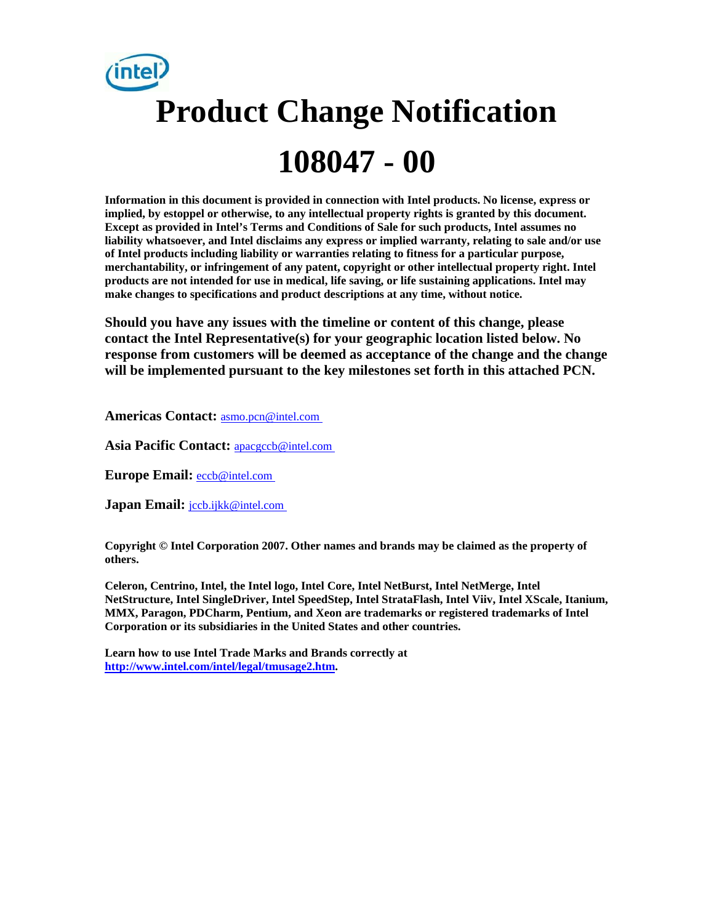# **Product Change Notification 108047 - 00**

**Information in this document is provided in connection with Intel products. No license, express or implied, by estoppel or otherwise, to any intellectual property rights is granted by this document. Except as provided in Intel's Terms and Conditions of Sale for such products, Intel assumes no liability whatsoever, and Intel disclaims any express or implied warranty, relating to sale and/or use of Intel products including liability or warranties relating to fitness for a particular purpose, merchantability, or infringement of any patent, copyright or other intellectual property right. Intel products are not intended for use in medical, life saving, or life sustaining applications. Intel may make changes to specifications and product descriptions at any time, without notice.** 

**Should you have any issues with the timeline or content of this change, please contact the Intel Representative(s) for your geographic location listed below. No response from customers will be deemed as acceptance of the change and the change will be implemented pursuant to the key milestones set forth in this attached PCN.** 

**Americas Contact:** [asmo.pcn@intel.com](mailto:asmo.pcn@intel.com) 

**Asia Pacific Contact:** [apacgccb@intel.com](mailto:apacgccb@intel.com) 

**Europe Email:** [eccb@intel.com](mailto:eccb@intel.com) 

**Japan Email: jccb.ijkk@intel.com** 

**Copyright © Intel Corporation 2007. Other names and brands may be claimed as the property of others.**

**Celeron, Centrino, Intel, the Intel logo, Intel Core, Intel NetBurst, Intel NetMerge, Intel NetStructure, Intel SingleDriver, Intel SpeedStep, Intel StrataFlash, Intel Viiv, Intel XScale, Itanium, MMX, Paragon, PDCharm, Pentium, and Xeon are trademarks or registered trademarks of Intel Corporation or its subsidiaries in the United States and other countries.** 

**Learn how to use Intel Trade Marks and Brands correctly at [http://www.intel.com/intel/legal/tmusage2.htm.](http://www.intel.com/intel/legal/tmusage2.htm)**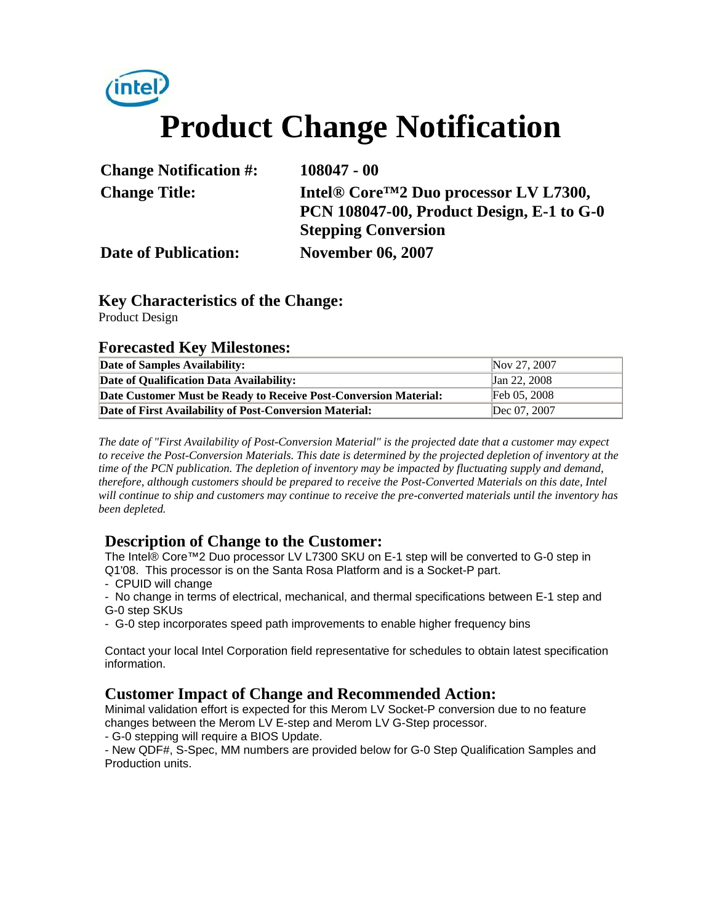# **Product Change Notification**

| <b>Change Notification #:</b> | $108047 - 00$                                                 |
|-------------------------------|---------------------------------------------------------------|
| <b>Change Title:</b>          | Intel <sup>®</sup> Core <sup>™2</sup> Duo processor LV L7300, |
|                               | <b>PCN 108047-00, Product Design, E-1 to G-0</b>              |
|                               | <b>Stepping Conversion</b>                                    |
| <b>Date of Publication:</b>   | <b>November 06, 2007</b>                                      |

### **Key Characteristics of the Change:**

Product Design

#### **Forecasted Key Milestones:**

| Date of Samples Availability:                                    | Nov 27, 2007 |
|------------------------------------------------------------------|--------------|
| Date of Qualification Data Availability:                         | Jan 22, 2008 |
| Date Customer Must be Ready to Receive Post-Conversion Material: | Feb 05, 2008 |
| Date of First Availability of Post-Conversion Material:          | Dec 07, 2007 |

*The date of "First Availability of Post-Conversion Material" is the projected date that a customer may expect to receive the Post-Conversion Materials. This date is determined by the projected depletion of inventory at the time of the PCN publication. The depletion of inventory may be impacted by fluctuating supply and demand, therefore, although customers should be prepared to receive the Post-Converted Materials on this date, Intel will continue to ship and customers may continue to receive the pre-converted materials until the inventory has been depleted.*

#### **Description of Change to the Customer:**

The Intel® Core™2 Duo processor LV L7300 SKU on E-1 step will be converted to G-0 step in Q1'08. This processor is on the Santa Rosa Platform and is a Socket-P part.

- CPUID will change
- No change in terms of electrical, mechanical, and thermal specifications between E-1 step and G-0 step SKUs
- G-0 step incorporates speed path improvements to enable higher frequency bins

Contact your local Intel Corporation field representative for schedules to obtain latest specification information.

#### **Customer Impact of Change and Recommended Action:**

Minimal validation effort is expected for this Merom LV Socket-P conversion due to no feature changes between the Merom LV E-step and Merom LV G-Step processor.

- G-0 stepping will require a BIOS Update.

- New QDF#, S-Spec, MM numbers are provided below for G-0 Step Qualification Samples and Production units.